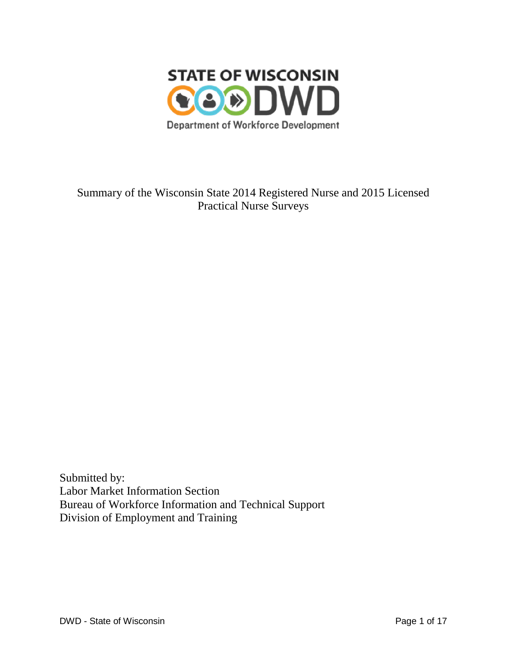

Summary of the Wisconsin State 2014 Registered Nurse and 2015 Licensed Practical Nurse Surveys

Submitted by: Labor Market Information Section Bureau of Workforce Information and Technical Support Division of Employment and Training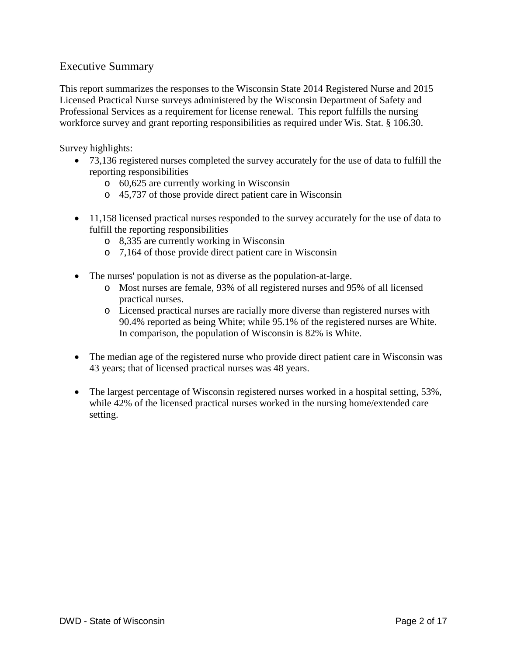# Executive Summary

This report summarizes the responses to the Wisconsin State 2014 Registered Nurse and 2015 Licensed Practical Nurse surveys administered by the Wisconsin Department of Safety and Professional Services as a requirement for license renewal. This report fulfills the nursing workforce survey and grant reporting responsibilities as required under Wis. Stat. § 106.30.

Survey highlights:

- 73,136 registered nurses completed the survey accurately for the use of data to fulfill the reporting responsibilities
	- o 60,625 are currently working in Wisconsin
	- o 45,737 of those provide direct patient care in Wisconsin
- 11,158 licensed practical nurses responded to the survey accurately for the use of data to fulfill the reporting responsibilities
	- o 8,335 are currently working in Wisconsin
	- o 7,164 of those provide direct patient care in Wisconsin
- The nurses' population is not as diverse as the population-at-large.
	- o Most nurses are female, 93% of all registered nurses and 95% of all licensed practical nurses.
	- o Licensed practical nurses are racially more diverse than registered nurses with 90.4% reported as being White; while 95.1% of the registered nurses are White. In comparison, the population of Wisconsin is 82% is White.
- The median age of the registered nurse who provide direct patient care in Wisconsin was 43 years; that of licensed practical nurses was 48 years.
- The largest percentage of Wisconsin registered nurses worked in a hospital setting, 53%, while 42% of the licensed practical nurses worked in the nursing home/extended care setting.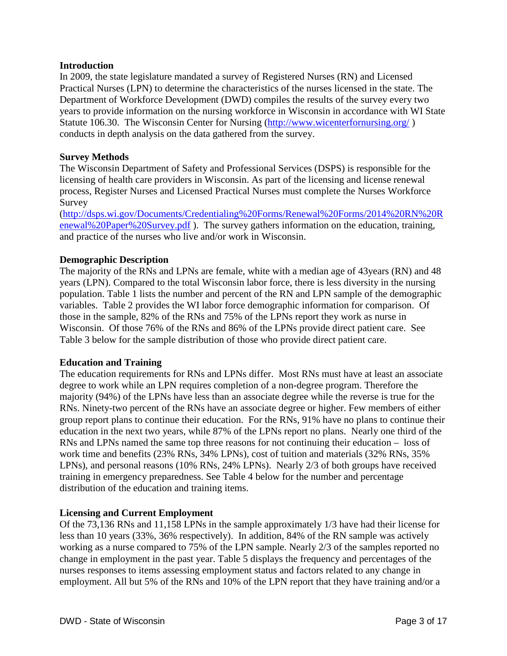## **Introduction**

In 2009, the state legislature mandated a survey of Registered Nurses (RN) and Licensed Practical Nurses (LPN) to determine the characteristics of the nurses licensed in the state. The Department of Workforce Development (DWD) compiles the results of the survey every two years to provide information on the nursing workforce in Wisconsin in accordance with WI State Statute 106.30. The Wisconsin Center for Nursing [\(http://www.wicenterfornursing.org/](http://www.wicenterfornursing.org/) ) conducts in depth analysis on the data gathered from the survey.

#### **Survey Methods**

The Wisconsin Department of Safety and Professional Services (DSPS) is responsible for the licensing of health care providers in Wisconsin. As part of the licensing and license renewal process, Register Nurses and Licensed Practical Nurses must complete the Nurses Workforce Survey

[\(http://dsps.wi.gov/Documents/Credentialing%20Forms/Renewal%20Forms/2014%20RN%20R](http://dsps.wi.gov/Documents/Credentialing%20Forms/Renewal%20Forms/2014%20RN%20Renewal%20Paper%20Survey.pdf) [enewal%20Paper%20Survey.pdf](http://dsps.wi.gov/Documents/Credentialing%20Forms/Renewal%20Forms/2014%20RN%20Renewal%20Paper%20Survey.pdf) ). The survey gathers information on the education, training, and practice of the nurses who live and/or work in Wisconsin.

## **Demographic Description**

The majority of the RNs and LPNs are female, white with a median age of 43years (RN) and 48 years (LPN). Compared to the total Wisconsin labor force, there is less diversity in the nursing population. Table 1 lists the number and percent of the RN and LPN sample of the demographic variables. Table 2 provides the WI labor force demographic information for comparison. Of those in the sample, 82% of the RNs and 75% of the LPNs report they work as nurse in Wisconsin. Of those 76% of the RNs and 86% of the LPNs provide direct patient care. See Table 3 below for the sample distribution of those who provide direct patient care.

#### **Education and Training**

The education requirements for RNs and LPNs differ. Most RNs must have at least an associate degree to work while an LPN requires completion of a non-degree program. Therefore the majority (94%) of the LPNs have less than an associate degree while the reverse is true for the RNs. Ninety-two percent of the RNs have an associate degree or higher. Few members of either group report plans to continue their education. For the RNs, 91% have no plans to continue their education in the next two years, while 87% of the LPNs report no plans. Nearly one third of the RNs and LPNs named the same top three reasons for not continuing their education – loss of work time and benefits (23% RNs, 34% LPNs), cost of tuition and materials (32% RNs, 35% LPNs), and personal reasons (10% RNs, 24% LPNs). Nearly 2/3 of both groups have received training in emergency preparedness. See Table 4 below for the number and percentage distribution of the education and training items.

#### **Licensing and Current Employment**

Of the 73,136 RNs and 11,158 LPNs in the sample approximately 1/3 have had their license for less than 10 years (33%, 36% respectively). In addition, 84% of the RN sample was actively working as a nurse compared to 75% of the LPN sample. Nearly 2/3 of the samples reported no change in employment in the past year. Table 5 displays the frequency and percentages of the nurses responses to items assessing employment status and factors related to any change in employment. All but 5% of the RNs and 10% of the LPN report that they have training and/or a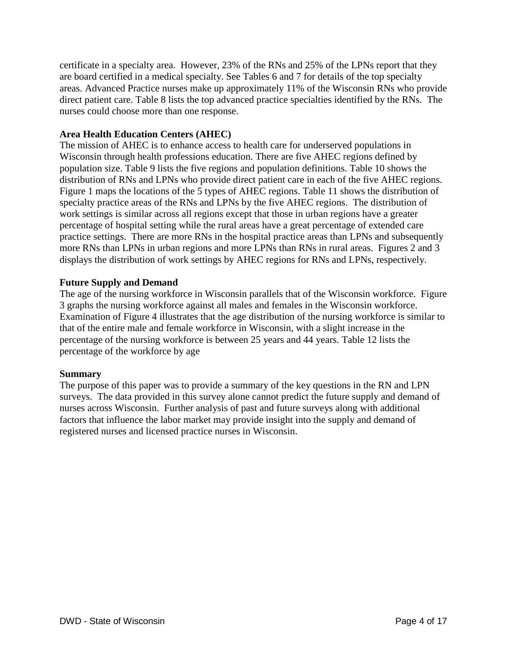certificate in a specialty area. However, 23% of the RNs and 25% of the LPNs report that they are board certified in a medical specialty. See Tables 6 and 7 for details of the top specialty areas. Advanced Practice nurses make up approximately 11% of the Wisconsin RNs who provide direct patient care. Table 8 lists the top advanced practice specialties identified by the RNs. The nurses could choose more than one response.

## **Area Health Education Centers (AHEC)**

The mission of AHEC is to enhance access to health care for underserved populations in Wisconsin through health professions education. There are five AHEC regions defined by population size. Table 9 lists the five regions and population definitions. Table 10 shows the distribution of RNs and LPNs who provide direct patient care in each of the five AHEC regions. Figure 1 maps the locations of the 5 types of AHEC regions. Table 11 shows the distribution of specialty practice areas of the RNs and LPNs by the five AHEC regions. The distribution of work settings is similar across all regions except that those in urban regions have a greater percentage of hospital setting while the rural areas have a great percentage of extended care practice settings. There are more RNs in the hospital practice areas than LPNs and subsequently more RNs than LPNs in urban regions and more LPNs than RNs in rural areas. Figures 2 and 3 displays the distribution of work settings by AHEC regions for RNs and LPNs, respectively.

## **Future Supply and Demand**

The age of the nursing workforce in Wisconsin parallels that of the Wisconsin workforce. Figure 3 graphs the nursing workforce against all males and females in the Wisconsin workforce. Examination of Figure 4 illustrates that the age distribution of the nursing workforce is similar to that of the entire male and female workforce in Wisconsin, with a slight increase in the percentage of the nursing workforce is between 25 years and 44 years. Table 12 lists the percentage of the workforce by age

## **Summary**

The purpose of this paper was to provide a summary of the key questions in the RN and LPN surveys. The data provided in this survey alone cannot predict the future supply and demand of nurses across Wisconsin. Further analysis of past and future surveys along with additional factors that influence the labor market may provide insight into the supply and demand of registered nurses and licensed practice nurses in Wisconsin.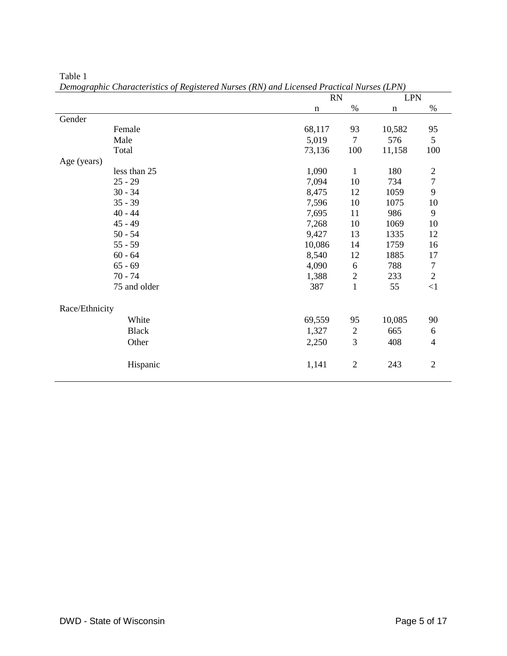| $\sim$ . The state of the contract of the state of the state $\sim$ | $\frac{1}{2}$ | <b>RN</b>      |             | <b>LPN</b>     |
|---------------------------------------------------------------------|---------------|----------------|-------------|----------------|
|                                                                     | $\mathbf n$   | $\%$           | $\mathbf n$ | $\%$           |
| Gender                                                              |               |                |             |                |
| Female                                                              | 68,117        | 93             | 10,582      | 95             |
| Male                                                                | 5,019         | $\overline{7}$ | 576         | 5              |
| Total                                                               | 73,136        | 100            | 11,158      | 100            |
| Age (years)                                                         |               |                |             |                |
| less than 25                                                        | 1,090         | $\mathbf{1}$   | 180         | $\mathbf{2}$   |
| $25 - 29$                                                           | 7,094         | 10             | 734         | $\overline{7}$ |
| $30 - 34$                                                           | 8,475         | 12             | 1059        | 9              |
| $35 - 39$                                                           | 7,596         | 10             | 1075        | 10             |
| $40 - 44$                                                           | 7,695         | 11             | 986         | 9              |
| $45 - 49$                                                           | 7,268         | 10             | 1069        | 10             |
| $50 - 54$                                                           | 9,427         | 13             | 1335        | 12             |
| $55 - 59$                                                           | 10,086        | 14             | 1759        | 16             |
| $60 - 64$                                                           | 8,540         | 12             | 1885        | 17             |
| $65 - 69$                                                           | 4,090         | 6              | 788         | $\tau$         |
| $70 - 74$                                                           | 1,388         | $\mathbf{2}$   | 233         | $\overline{2}$ |
| 75 and older                                                        | 387           | $\mathbf{1}$   | 55          | $\leq$ 1       |
| Race/Ethnicity                                                      |               |                |             |                |
| White                                                               | 69,559        | 95             | 10,085      | 90             |
| <b>Black</b>                                                        | 1,327         | $\mathbf{2}$   | 665         | 6              |
| Other                                                               | 2,250         | $\mathfrak{Z}$ | 408         | $\overline{4}$ |
| Hispanic                                                            | 1,141         | $\overline{2}$ | 243         | $\overline{2}$ |

Table 1 *Demographic Characteristics of Registered Nurses (RN) and Licensed Practical Nurses (LPN)*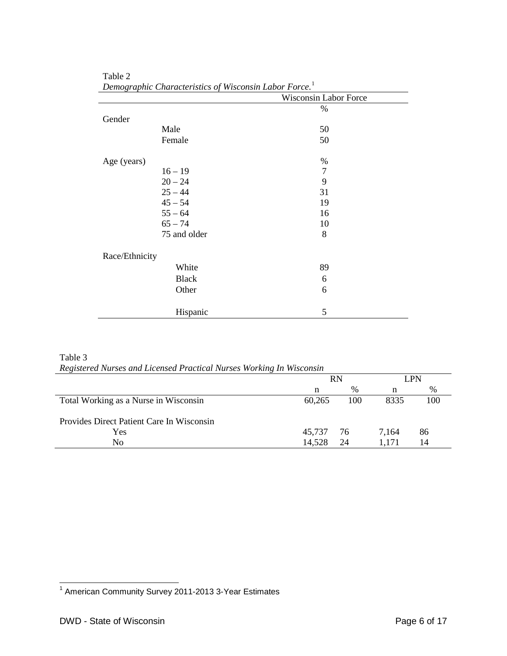|                | Demographic Characteristics of wisconsin <b>Ea</b> bor 1 orce. | Wisconsin Labor Force |  |
|----------------|----------------------------------------------------------------|-----------------------|--|
|                |                                                                | $\%$                  |  |
| Gender         |                                                                |                       |  |
|                | Male                                                           | 50                    |  |
|                | Female                                                         | 50                    |  |
| Age (years)    |                                                                | $\%$                  |  |
|                | $16 - 19$                                                      | $\overline{7}$        |  |
|                | $20 - 24$                                                      | 9                     |  |
|                | $25 - 44$                                                      | 31                    |  |
|                | $45 - 54$                                                      | 19                    |  |
|                | $55 - 64$                                                      | 16                    |  |
|                | $65 - 74$                                                      | 10                    |  |
|                | 75 and older                                                   | 8                     |  |
| Race/Ethnicity |                                                                |                       |  |
|                | White                                                          | 89                    |  |
|                | <b>Black</b>                                                   | 6                     |  |
|                | Other                                                          | 6                     |  |
|                | Hispanic                                                       | 5                     |  |

Table 2 *Demographic Characteristics of Wisconsin Labor Force.*[1](#page-5-0)

Table 3

*Registered Nurses and Licensed Practical Nurses Working In Wisconsin*

|                                           | <b>RN</b> |      | LPN   |     |
|-------------------------------------------|-----------|------|-------|-----|
|                                           | n         | $\%$ | n     | %   |
| Total Working as a Nurse in Wisconsin     | 60,265    | 100  | 8335  | 100 |
| Provides Direct Patient Care In Wisconsin |           |      |       |     |
| Yes                                       | 45.737    | 76   | 7.164 | 86  |
| No                                        | 14,528    | 24   |       | 14  |

<span id="page-5-0"></span><sup>1&</sup>lt;br><sup>1</sup> American Community Survey 2011-2013 3-Year Estimates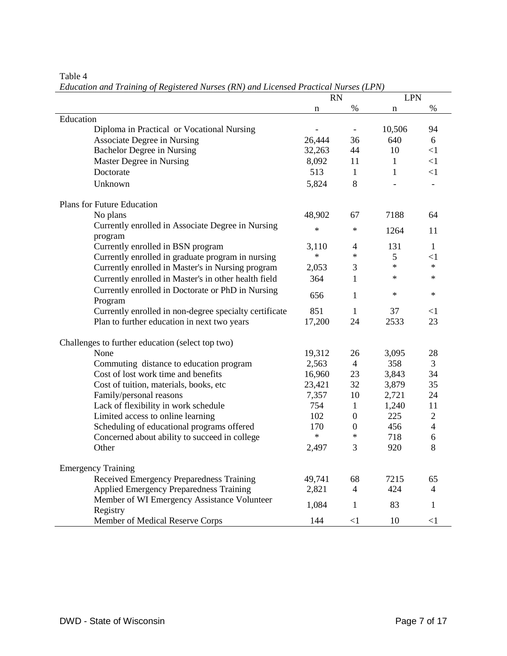## Table 4

*Education and Training of Registered Nurses (RN) and Licensed Practical Nurses (LPN)*

|                                                              | <b>RN</b> |                | <b>LPN</b>   |                          |
|--------------------------------------------------------------|-----------|----------------|--------------|--------------------------|
|                                                              | n         | %              | n            | $\%$                     |
| Education                                                    |           |                |              |                          |
| Diploma in Practical or Vocational Nursing                   |           |                | 10,506       | 94                       |
| <b>Associate Degree in Nursing</b>                           | 26,444    | 36             | 640          | 6                        |
| <b>Bachelor Degree in Nursing</b>                            | 32,263    | 44             | 10           | <1                       |
| Master Degree in Nursing                                     | 8,092     | 11             | 1            | $<$ 1                    |
| Doctorate                                                    | 513       | $\mathbf{1}$   | $\mathbf{1}$ | $<$ 1                    |
| Unknown                                                      | 5,824     | 8              |              | $\overline{\phantom{a}}$ |
| Plans for Future Education                                   |           |                |              |                          |
| No plans                                                     | 48,902    | 67             | 7188         | 64                       |
| Currently enrolled in Associate Degree in Nursing<br>program | $\ast$    | $\ast$         | 1264         | 11                       |
| Currently enrolled in BSN program                            | 3,110     | 4              | 131          | $\mathbf{1}$             |
| Currently enrolled in graduate program in nursing            | $\ast$    | $\ast$         | 5            | $<$ 1                    |
| Currently enrolled in Master's in Nursing program            | 2,053     | 3              | $\ast$       | $\ast$                   |
| Currently enrolled in Master's in other health field         | 364       | 1              | $\ast$       | $\ast$                   |
| Currently enrolled in Doctorate or PhD in Nursing            |           |                |              |                          |
| Program                                                      | 656       | 1              | $\ast$       | $\ast$                   |
| Currently enrolled in non-degree specialty certificate       | 851       | $\mathbf{1}$   | 37           | $<$ 1                    |
| Plan to further education in next two years                  | 17,200    | 24             | 2533         | 23                       |
| Challenges to further education (select top two)             |           |                |              |                          |
| None                                                         | 19,312    | 26             | 3,095        | 28                       |
| Commuting distance to education program                      | 2,563     | $\overline{4}$ | 358          | 3                        |
| Cost of lost work time and benefits                          | 16,960    | 23             | 3,843        | 34                       |
| Cost of tuition, materials, books, etc                       | 23,421    | 32             | 3,879        | 35                       |
| Family/personal reasons                                      | 7,357     | 10             | 2,721        | 24                       |
| Lack of flexibility in work schedule                         | 754       | $\mathbf{1}$   | 1,240        | 11                       |
| Limited access to online learning                            | 102       | $\overline{0}$ | 225          | $\overline{2}$           |
| Scheduling of educational programs offered                   | 170       | $\overline{0}$ | 456          | $\overline{\mathcal{L}}$ |
| Concerned about ability to succeed in college                | $\ast$    | $\ast$         | 718          | 6                        |
| Other                                                        | 2,497     | 3              | 920          | 8                        |
| <b>Emergency Training</b>                                    |           |                |              |                          |
| Received Emergency Preparedness Training                     | 49,741    | 68             | 7215         | 65                       |
| <b>Applied Emergency Preparedness Training</b>               | 2,821     | 4              | 424          | $\overline{4}$           |
| Member of WI Emergency Assistance Volunteer<br>Registry      | 1,084     | 1              | 83           | 1                        |
| Member of Medical Reserve Corps                              | 144       | $\leq$ 1       | 10           | $\leq$ 1                 |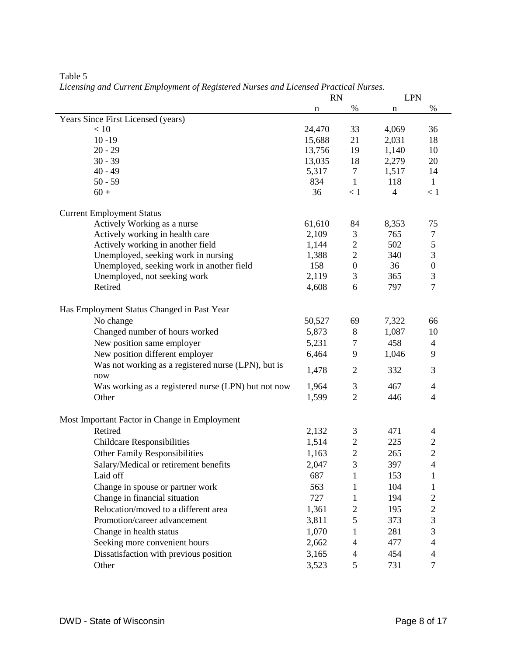|                                                            | <b>RN</b> |                          | <b>LPN</b>     |                  |  |
|------------------------------------------------------------|-----------|--------------------------|----------------|------------------|--|
|                                                            | n         | %                        | n              | %                |  |
| Years Since First Licensed (years)                         |           |                          |                |                  |  |
| < 10                                                       | 24,470    | 33                       | 4,069          | 36               |  |
| $10 - 19$                                                  | 15,688    | 21                       | 2,031          | 18               |  |
| $20 - 29$                                                  | 13,756    | 19                       | 1,140          | 10               |  |
| $30 - 39$                                                  | 13,035    | 18                       | 2,279          | 20               |  |
| $40 - 49$                                                  | 5,317     | $\overline{7}$           | 1,517          | 14               |  |
| $50 - 59$                                                  | 834       | $\mathbf{1}$             | 118            | $\mathbf{1}$     |  |
| $60 +$                                                     | 36        | < 1                      | $\overline{4}$ | < 1              |  |
| <b>Current Employment Status</b>                           |           |                          |                |                  |  |
| Actively Working as a nurse                                | 61,610    | 84                       | 8,353          | 75               |  |
| Actively working in health care                            | 2,109     | 3                        | 765            | $\tau$           |  |
| Actively working in another field                          | 1,144     | $\boldsymbol{2}$         | 502            | $\mathfrak s$    |  |
| Unemployed, seeking work in nursing                        | 1,388     | $\overline{2}$           | 340            | $\mathfrak{Z}$   |  |
| Unemployed, seeking work in another field                  | 158       | $\boldsymbol{0}$         | 36             | $\boldsymbol{0}$ |  |
| Unemployed, not seeking work                               | 2,119     | 3                        | 365            | $\mathfrak{Z}$   |  |
| Retired                                                    | 4,608     | 6                        | 797            | $\overline{7}$   |  |
| Has Employment Status Changed in Past Year                 |           |                          |                |                  |  |
| No change                                                  | 50,527    |                          | 7,322          | 66               |  |
|                                                            |           | 69                       |                |                  |  |
| Changed number of hours worked                             | 5,873     | 8                        | 1,087          | 10               |  |
| New position same employer                                 | 5,231     | $\tau$                   | 458            | $\overline{4}$   |  |
| New position different employer                            | 6,464     | 9                        | 1,046          | 9                |  |
| Was not working as a registered nurse (LPN), but is<br>now | 1,478     | $\overline{2}$           | 332            | 3                |  |
| Was working as a registered nurse (LPN) but not now        | 1,964     | 3                        | 467            | $\overline{4}$   |  |
| Other                                                      | 1,599     | $\overline{2}$           | 446            | $\overline{4}$   |  |
| Most Important Factor in Change in Employment              |           |                          |                |                  |  |
| Retired                                                    | 2,132     | 3                        | 471            | 4                |  |
| <b>Childcare Responsibilities</b>                          | 1,514     | $\overline{c}$           | 225            | $\overline{c}$   |  |
| <b>Other Family Responsibilities</b>                       | 1,163     | $\overline{2}$           | 265            | $\overline{c}$   |  |
| Salary/Medical or retirement benefits                      | 2,047     | 3                        | 397            | $\overline{4}$   |  |
| Laid off                                                   | 687       | 1                        | 153            | 1                |  |
|                                                            |           |                          |                |                  |  |
| Change in spouse or partner work                           | 563       | 1                        | 104            | 1                |  |
| Change in financial situation                              | 727       | 1                        | 194            | $\overline{c}$   |  |
| Relocation/moved to a different area                       | 1,361     | 2                        | 195            | $\sqrt{2}$       |  |
| Promotion/career advancement                               | 3,811     | 5                        | 373            | 3                |  |
| Change in health status                                    | 1,070     | 1                        | 281            | 3                |  |
| Seeking more convenient hours                              | 2,662     | $\overline{\mathcal{A}}$ | 477            | $\overline{4}$   |  |
| Dissatisfaction with previous position                     | 3,165     | 4                        | 454            | $\overline{4}$   |  |
| Other                                                      | 3,523     | 5                        | 731            | 7                |  |

Table 5 *Licensing and Current Employment of Registered Nurses and Licensed Practical Nurses.*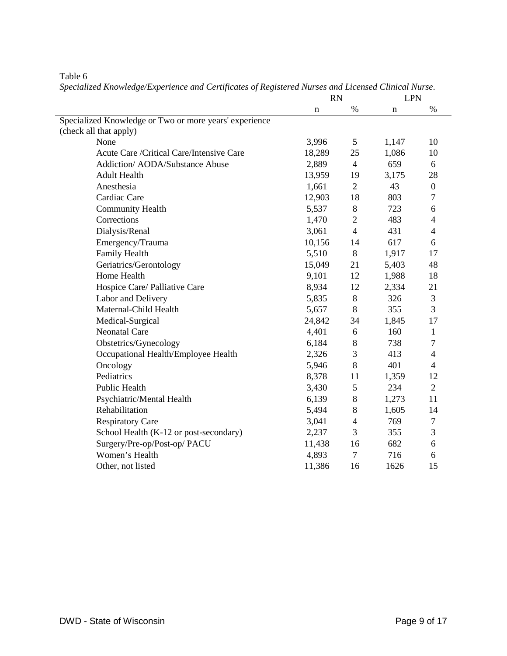|                                                        | <b>RN</b>   |                | <b>LPN</b> |                  |
|--------------------------------------------------------|-------------|----------------|------------|------------------|
|                                                        | $\mathbf n$ | $\%$           | n          | $\%$             |
| Specialized Knowledge or Two or more years' experience |             |                |            |                  |
| (check all that apply)                                 |             |                |            |                  |
| None                                                   | 3,996       | 5              | 1,147      | 10               |
| Acute Care/Critical Care/Intensive Care                | 18,289      | 25             | 1,086      | 10               |
| Addiction/ AODA/Substance Abuse                        | 2,889       | $\overline{4}$ | 659        | 6                |
| <b>Adult Health</b>                                    | 13,959      | 19             | 3,175      | 28               |
| Anesthesia                                             | 1,661       | $\overline{2}$ | 43         | $\boldsymbol{0}$ |
| Cardiac Care                                           | 12,903      | 18             | 803        | 7                |
| <b>Community Health</b>                                | 5,537       | 8              | 723        | 6                |
| Corrections                                            | 1,470       | $\overline{2}$ | 483        | $\overline{4}$   |
| Dialysis/Renal                                         | 3,061       | $\overline{4}$ | 431        | 4                |
| Emergency/Trauma                                       | 10,156      | 14             | 617        | 6                |
| Family Health                                          | 5,510       | 8              | 1,917      | 17               |
| Geriatrics/Gerontology                                 | 15,049      | 21             | 5,403      | 48               |
| Home Health                                            | 9,101       | 12             | 1,988      | 18               |
| Hospice Care/ Palliative Care                          | 8,934       | 12             | 2,334      | 21               |
| Labor and Delivery                                     | 5,835       | $8\,$          | 326        | 3                |
| Maternal-Child Health                                  | 5,657       | 8              | 355        | 3                |
| Medical-Surgical                                       | 24,842      | 34             | 1,845      | 17               |
| <b>Neonatal Care</b>                                   | 4,401       | 6              | 160        | 1                |
| Obstetrics/Gynecology                                  | 6,184       | 8              | 738        | $\overline{7}$   |
| Occupational Health/Employee Health                    | 2,326       | 3              | 413        | $\overline{4}$   |
| Oncology                                               | 5,946       | 8              | 401        | $\overline{4}$   |
| Pediatrics                                             | 8,378       | 11             | 1,359      | 12               |
| Public Health                                          | 3,430       | 5              | 234        | $\overline{2}$   |
| Psychiatric/Mental Health                              | 6,139       | 8              | 1,273      | 11               |
| Rehabilitation                                         | 5,494       | 8              | 1,605      | 14               |
| <b>Respiratory Care</b>                                | 3,041       | $\overline{4}$ | 769        | 7                |
| School Health (K-12 or post-secondary)                 | 2,237       | 3              | 355        | 3                |
| Surgery/Pre-op/Post-op/ PACU                           | 11,438      | 16             | 682        | 6                |
| Women's Health                                         | 4,893       | $\overline{7}$ | 716        | 6                |
| Other, not listed                                      | 11,386      | 16             | 1626       | 15               |
|                                                        |             |                |            |                  |

Table 6 *Specialized Knowledge/Experience and Certificates of Registered Nurses and Licensed Clinical Nurse*.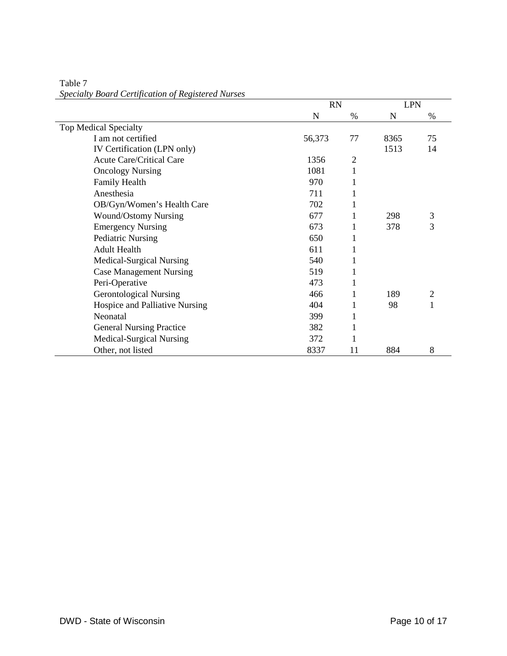|                                 | <b>RN</b> | <b>LPN</b> |      |                |
|---------------------------------|-----------|------------|------|----------------|
|                                 | N         | %          | N    | %              |
| <b>Top Medical Specialty</b>    |           |            |      |                |
| I am not certified              | 56,373    | 77         | 8365 | 75             |
| IV Certification (LPN only)     |           |            | 1513 | 14             |
| <b>Acute Care/Critical Care</b> | 1356      | 2          |      |                |
| <b>Oncology Nursing</b>         | 1081      | 1          |      |                |
| Family Health                   | 970       |            |      |                |
| Anesthesia                      | 711       |            |      |                |
| OB/Gyn/Women's Health Care      | 702       |            |      |                |
| <b>Wound/Ostomy Nursing</b>     | 677       |            | 298  | 3              |
| <b>Emergency Nursing</b>        | 673       |            | 378  | 3              |
| <b>Pediatric Nursing</b>        | 650       |            |      |                |
| <b>Adult Health</b>             | 611       |            |      |                |
| Medical-Surgical Nursing        | 540       |            |      |                |
| <b>Case Management Nursing</b>  | 519       |            |      |                |
| Peri-Operative                  | 473       |            |      |                |
| <b>Gerontological Nursing</b>   | 466       |            | 189  | $\overline{2}$ |
| Hospice and Palliative Nursing  | 404       |            | 98   |                |
| Neonatal                        | 399       |            |      |                |
| <b>General Nursing Practice</b> | 382       |            |      |                |
| <b>Medical-Surgical Nursing</b> | 372       |            |      |                |
| Other, not listed               | 8337      | 11         | 884  | 8              |

Table 7 *Specialty Board Certification of Registered Nurses*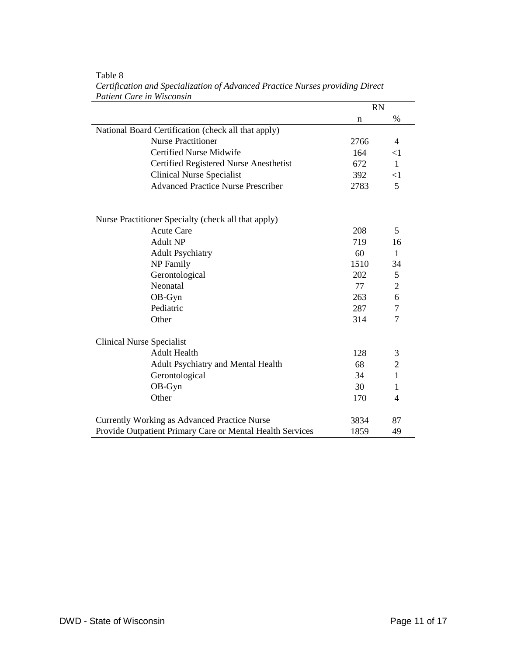|                                                           | <b>RN</b> |                |
|-----------------------------------------------------------|-----------|----------------|
|                                                           | n         | %              |
| National Board Certification (check all that apply)       |           |                |
| <b>Nurse Practitioner</b>                                 | 2766      | 4              |
| <b>Certified Nurse Midwife</b>                            | 164       | $<$ 1          |
| Certified Registered Nurse Anesthetist                    | 672       | $\mathbf{1}$   |
| <b>Clinical Nurse Specialist</b>                          | 392       | $\leq$ 1       |
| <b>Advanced Practice Nurse Prescriber</b>                 | 2783      | 5              |
| Nurse Practitioner Specialty (check all that apply)       |           |                |
| <b>Acute Care</b>                                         | 208       | 5              |
| <b>Adult NP</b>                                           | 719       | 16             |
| <b>Adult Psychiatry</b>                                   | 60        | $\mathbf{1}$   |
| <b>NP</b> Family                                          | 1510      | 34             |
| Gerontological                                            | 202       | $\mathfrak{S}$ |
| Neonatal                                                  | 77        | $\overline{2}$ |
| OB-Gyn                                                    | 263       | 6              |
| Pediatric                                                 | 287       | 7              |
| Other                                                     | 314       | 7              |
| <b>Clinical Nurse Specialist</b>                          |           |                |
| <b>Adult Health</b>                                       | 128       | 3              |
| <b>Adult Psychiatry and Mental Health</b>                 | 68        | $\overline{2}$ |
| Gerontological                                            | 34        | $\mathbf{1}$   |
| OB-Gyn                                                    | 30        | 1              |
| Other                                                     | 170       | 4              |
| Currently Working as Advanced Practice Nurse              | 3834      | 87             |
| Provide Outpatient Primary Care or Mental Health Services | 1859      | 49             |

#### Table 8 *Certification and Specialization of Advanced Practice Nurses providing Direct Patient Care in Wisconsin*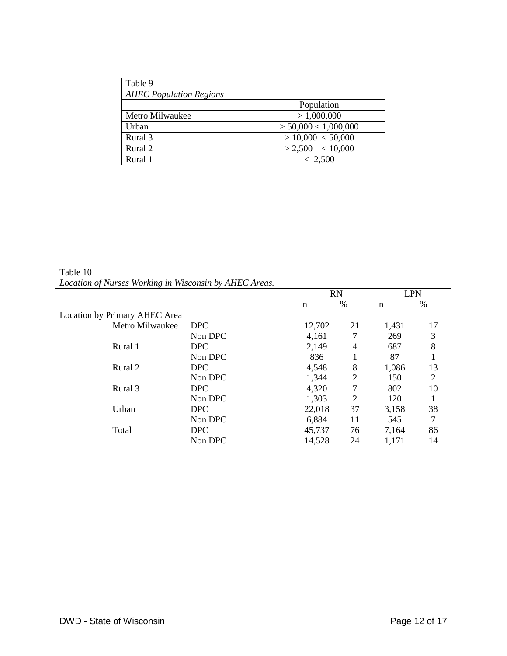| Table 9                        |                           |
|--------------------------------|---------------------------|
| <b>AHEC Population Regions</b> |                           |
|                                | Population                |
| Metro Milwaukee                | > 1,000,000               |
| Urban                          | $\geq$ 50,000 < 1,000,000 |
| Rural 3                        | > 10,000 < 50,000         |
| Rural 2                        | $> 2,500$ < 10,000        |
| Rural 1                        | < 2,500                   |

Table 10 *Location of Nurses Working in Wisconsin by AHEC Areas.*

|                               |            | <b>RN</b> |                |       | <b>LPN</b> |
|-------------------------------|------------|-----------|----------------|-------|------------|
|                               |            | n         | $\%$           | n     | %          |
| Location by Primary AHEC Area |            |           |                |       |            |
| Metro Milwaukee               | <b>DPC</b> | 12,702    | 21             | 1,431 | 17         |
|                               | Non DPC    | 4,161     | 7              | 269   | 3          |
| Rural 1                       | <b>DPC</b> | 2,149     | 4              | 687   | 8          |
|                               | Non DPC    | 836       |                | 87    |            |
| Rural 2                       | <b>DPC</b> | 4,548     | 8              | 1,086 | 13         |
|                               | Non DPC    | 1,344     | $\overline{2}$ | 150   | 2          |
| Rural 3                       | <b>DPC</b> | 4,320     | 7              | 802   | 10         |
|                               | Non DPC    | 1,303     | $\overline{2}$ | 120   |            |
| Urban                         | <b>DPC</b> | 22,018    | 37             | 3,158 | 38         |
|                               | Non DPC    | 6,884     | 11             | 545   | 7          |
| Total                         | <b>DPC</b> | 45,737    | 76             | 7,164 | 86         |
|                               | Non DPC    | 14,528    | 24             | 1,171 | 14         |
|                               |            |           |                |       |            |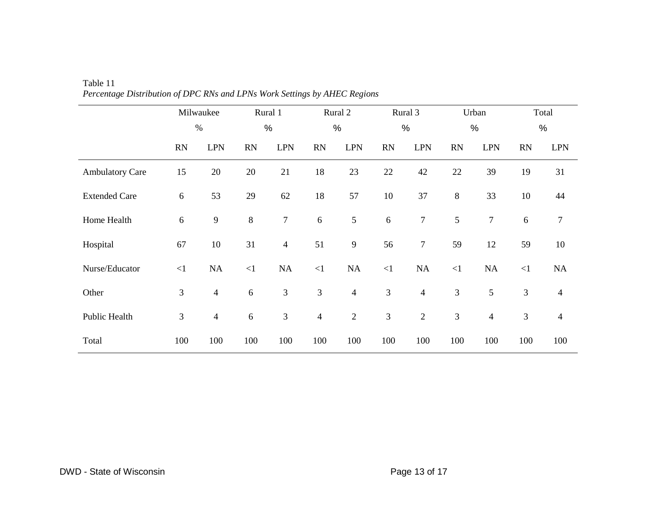|                        |            | Milwaukee      |           | Rural 1        |                | Rural 2                  |            | Rural 3          |                | Urban          |                | Total          |
|------------------------|------------|----------------|-----------|----------------|----------------|--------------------------|------------|------------------|----------------|----------------|----------------|----------------|
|                        |            | $\%$           |           | $\%$           |                | $\frac{0}{0}$            |            | $\%$             |                | $\%$           |                | %              |
|                        | <b>RN</b>  | <b>LPN</b>     | <b>RN</b> | <b>LPN</b>     | <b>RN</b>      | <b>LPN</b>               | <b>RN</b>  | <b>LPN</b>       | <b>RN</b>      | <b>LPN</b>     | <b>RN</b>      | <b>LPN</b>     |
| <b>Ambulatory Care</b> | 15         | 20             | 20        | 21             | 18             | 23                       | 22         | $42\,$           | 22             | 39             | 19             | 31             |
| <b>Extended Care</b>   | $\sqrt{6}$ | 53             | 29        | 62             | 18             | 57                       | 10         | 37               | $8\,$          | 33             | 10             | 44             |
| Home Health            | $\sqrt{6}$ | $\overline{9}$ | $\,8\,$   | $\overline{7}$ | $6\,$          | 5                        | $\sqrt{6}$ | $\boldsymbol{7}$ | 5              | $\overline{7}$ | 6              | $\tau$         |
| Hospital               | 67         | 10             | 31        | $\overline{4}$ | 51             | $\mathbf{9}$             | 56         | $\tau$           | 59             | 12             | 59             | 10             |
| Nurse/Educator         | $\leq$ 1   | NA             | $\leq$ 1  | $\rm NA$       | $\leq$ 1       | $\rm NA$                 | $\leq$ 1   | $\rm NA$         | $<1\,$         | $\rm NA$       | $\leq$ 1       | NA             |
| Other                  | 3          | $\overline{4}$ | 6         | 3              | 3              | $\overline{\mathcal{L}}$ | 3          | $\overline{4}$   | $\mathfrak{Z}$ | 5              | 3              | $\overline{4}$ |
| Public Health          | 3          | $\overline{4}$ | 6         | 3              | $\overline{4}$ | $\overline{c}$           | 3          | $\mathbf{2}$     | $\mathfrak{Z}$ | $\overline{4}$ | $\mathfrak{Z}$ | $\overline{4}$ |
| Total                  | 100        | 100            | 100       | 100            | 100            | 100                      | 100        | 100              | 100            | 100            | 100            | 100            |

Table 11 *Percentage Distribution of DPC RNs and LPNs Work Settings by AHEC Regions*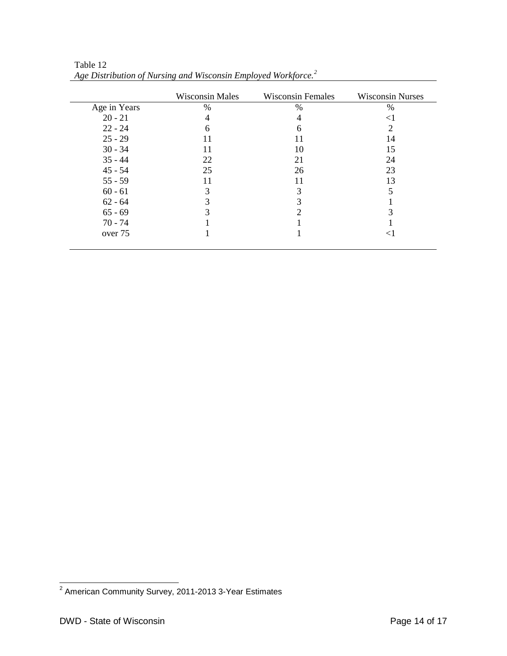|              | <b>Wisconsin Males</b> | <b>Wisconsin Females</b> | <b>Wisconsin Nurses</b> |
|--------------|------------------------|--------------------------|-------------------------|
| Age in Years | $\%$                   | $\%$                     | $\%$                    |
| $20 - 21$    | 4                      | 4                        | $<$ 1                   |
| $22 - 24$    | 6                      | 6                        | 2                       |
| $25 - 29$    |                        |                          | 14                      |
| $30 - 34$    |                        | 10                       | 15                      |
| $35 - 44$    | 22                     | 21                       | 24                      |
| $45 - 54$    | 25                     | 26                       | 23                      |
| $55 - 59$    |                        | 11                       | 13                      |
| $60 - 61$    | 3                      | 3                        |                         |
| $62 - 64$    |                        | 3                        |                         |
| $65 - 69$    |                        | ∍                        |                         |
| $70 - 74$    |                        |                          |                         |
| over 75      |                        |                          | $<$ l                   |

Table 12 *Age Distribution of Nursing and Wisconsin Employed Workforce.[2](#page-13-0)*

<span id="page-13-0"></span><sup>2&</sup>lt;br><sup>2</sup> American Community Survey, 2011-2013 3-Year Estimates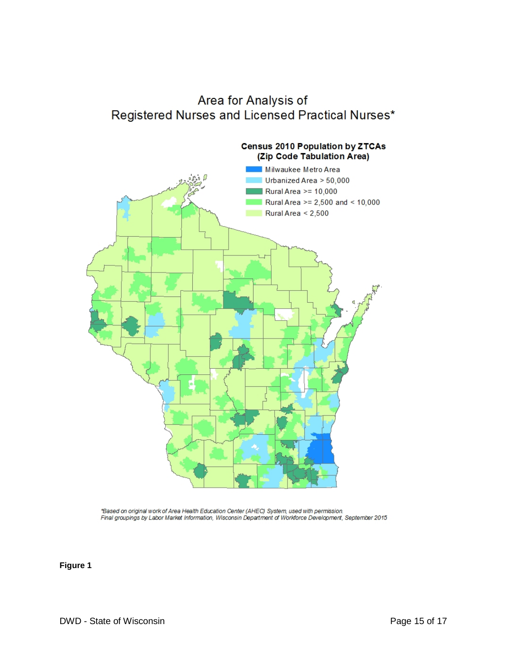# Area for Analysis of Registered Nurses and Licensed Practical Nurses\*



\*Based on original work of Area Health Education Center (AHEC) System, used with permission. Final groupings by Labor Market Information, Wisconsin Department of Workforce Development, September 2015

**Figure 1**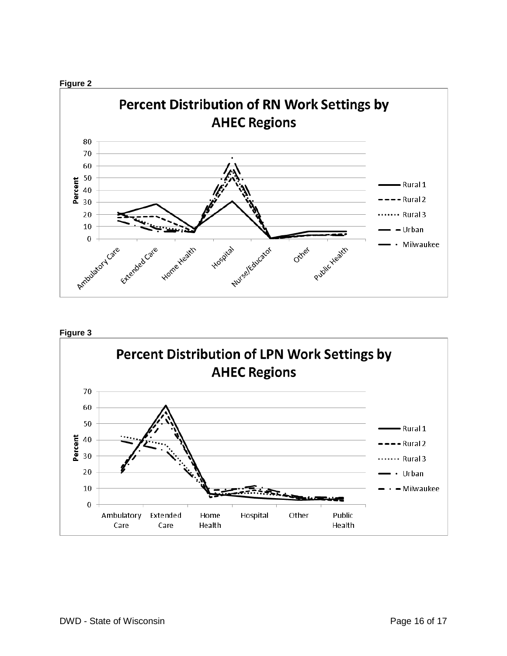